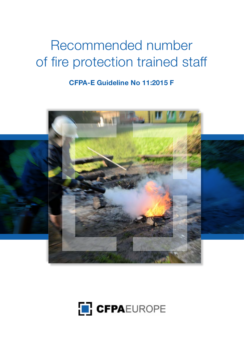# Recommended number of fire protection trained staff

**CFPA-E Guideline No 11:2015 F**



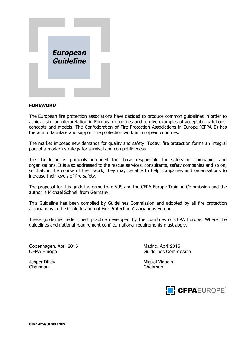

#### **FOREWORD**

The European fire protection associations have decided to produce common guidelines in order to achieve similar interpretation in European countries and to give examples of acceptable solutions, concepts and models. The Confederation of Fire Protection Associations in Europe (CFPA E) has the aim to facilitate and support fire protection work in European countries.

The market imposes new demands for quality and safety. Today, fire protection forms an integral part of a modern strategy for survival and competitiveness.

This Guideline is primarily intended for those responsible for safety in companies and organisations. It is also addressed to the rescue services, consultants, safety companies and so on, so that, in the course of their work, they may be able to help companies and organisations to increase their levels of fire safety.

The proposal for this guideline came from VdS and the CFPA Europe Training Commission and the author is Michael Schnell from Germany.

This Guideline has been compiled by Guidelines Commission and adopted by all fire protection associations in the Confederation of Fire Protection Associations Europe.

These guidelines reflect best practice developed by the countries of CFPA Europe. Where the guidelines and national requirement conflict, national requirements must apply.

Copenhagen, April 2015 Madrid, April 2015 CFPA Europe CFPA Europe CFPA Europe CFPA Europe Commission

Chairman Chairman

Jesper Ditlev **Miguel Vidueira** Miguel Vidueira

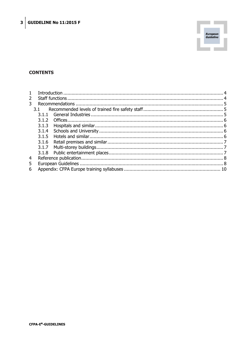

## **CONTENTS**

| $\overline{2}$ |       |  |  |  |
|----------------|-------|--|--|--|
| 3              |       |  |  |  |
|                | 3.1   |  |  |  |
|                |       |  |  |  |
|                | 3.1.2 |  |  |  |
|                | 3.1.3 |  |  |  |
|                | 3.1.4 |  |  |  |
|                |       |  |  |  |
|                | 3.1.6 |  |  |  |
|                | 3.1.7 |  |  |  |
|                |       |  |  |  |
| $\overline{4}$ |       |  |  |  |
| 5              |       |  |  |  |
| 6              |       |  |  |  |
|                |       |  |  |  |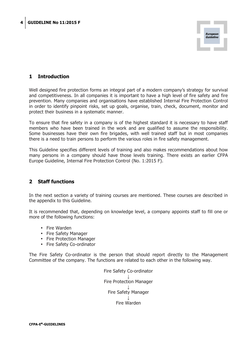

# **1 Introduction**

Well designed fire protection forms an integral part of a modern company's strategy for survival and competitiveness. In all companies it is important to have a high level of fire safety and fire prevention. Many companies and organisations have established Internal Fire Protection Control in order to identify pinpoint risks, set up goals, organise, train, check, document, monitor and protect their business in a systematic manner.

To ensure that fire safety in a company is of the highest standard it is necessary to have staff members who have been trained in the work and are qualified to assume the responsibility. Some businesses have their own fire brigades, with well trained staff but in most companies there is a need to train persons to perform the various roles in fire safety management.

This Guideline specifies different levels of training and also makes recommendations about how many persons in a company should have those levels training. There exists an earlier CFPA Europe Guideline, Internal Fire Protection Control (No. 1:2015 F).

## **2 Staff functions**

In the next section a variety of training courses are mentioned. These courses are described in the appendix to this Guideline.

It is recommended that, depending on knowledge level, a company appoints staff to fill one or more of the following functions:

- Fire Warden
- Fire Safety Manager
- Fire Protection Manager
- Fire Safety Co-ordinator

The Fire Safety Co-ordinator is the person that should report directly to the Management Committee of the company. The functions are related to each other in the following way.

Fire Safety Co-ordinator ↓ Fire Protection Manager ↓ Fire Safety Manager ↓ Fire Warden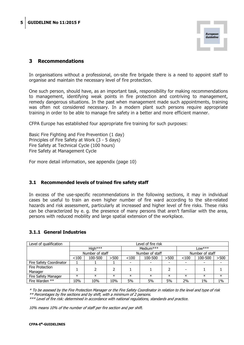

# **3 Recommendations**

In organisations without a professional, on-site fire brigade there is a need to appoint staff to organise and maintain the necessary level of fire protection.

One such person, should have, as an important task, responsibility for making recommendations to management, identifying weak points in fire protection and contriving to management, remedy dangerous situations. In the past when management made such appointments, training was often not considered necessary. In a modern plant such persons require appropriate training in order to be able to manage fire safety in a better and more efficient manner.

CFPA Europe has established four appropriate fire training for such purposes:

Basic Fire Fighting and Fire Prevention (1 day) Principles of Fire Safety at Work (3 - 5 days) Fire Safety at Technical Cycle (100 hours) Fire Safety at Management Cycle

For more detail information, see appendix (page 10)

#### **3.1 Recommended levels of trained fire safety staff**

In excess of the use-specific recommendations in the following sections, it may in individual cases be useful to train an even higher number of fire ward according to the site-related hazards and risk assessment, particularly at increased and higher level of fire risks. These risks can be characterized by e. g. the presence of many persons that aren't familiar with the area, persons with reduced mobility and large spatial extension of the workplace.

#### **3.1.1 General Industries**

| Level of qualification  | Level of fire risk |         |                 |        |                 |        |        |         |        |
|-------------------------|--------------------|---------|-----------------|--------|-----------------|--------|--------|---------|--------|
|                         | $High***$          |         | Medium $***$    |        | $low***$        |        |        |         |        |
|                         | Number of staff    |         | Number of staff |        | Number of staff |        |        |         |        |
|                         | < 100              | 100-500 | >500            | < 100  | 100-500         | >500   | < 100  | 100-500 | >500   |
| Fire Safety Coordinator |                    |         |                 |        |                 |        |        |         |        |
| Fire Protection         |                    |         |                 |        |                 |        |        |         |        |
| Manager                 |                    |         |                 |        |                 |        |        |         |        |
| Fire Safety Manager     | $\ast$             | $\ast$  | $\ast$          | $\ast$ | $\ast$          | $\ast$ | $\ast$ | $\ast$  | $\ast$ |
| Fire Warden **          | 10%                | 10%     | 10%             | 5%     | 5%              | 5%     | 2%     | 1%      | $1\%$  |

\* To be assesed by the Fire Protection Manager or the Fire Safety Coordinator in relation to the level and type of risk \*\* Percentages by fire sections and by shift, with a minimum of 2 persons.

\*\*\* Level of fire risk: determined in accordance with national regulations, standards and practice.

10% means 10% of the number of staff per fire section and per shift.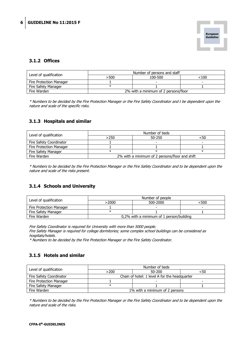

## **3.1.2 Offices**

| Level of qualification  | Number of persons and staff |                                      |      |  |
|-------------------------|-----------------------------|--------------------------------------|------|--|
|                         | >500                        | 100-500                              | <100 |  |
| Fire Protection Manager |                             |                                      |      |  |
| Fire Safety Manager     |                             |                                      |      |  |
| Fire Warden             |                             | 2% with a minimum of 2 persons/floor |      |  |

\* Numbers to be decided by the Fire Protection Manager or the Fire Safety Coordinator and t be dependent upon the nature and scale of the specific risks.

## **3.1.3 Hospitals and similar**

| Level of qualification  | Number of beds |                                                |     |  |
|-------------------------|----------------|------------------------------------------------|-----|--|
|                         | >250           | 50-250                                         | <50 |  |
| Fire Safety Coordinator |                |                                                |     |  |
| Fire Protection Manager |                |                                                |     |  |
| Fire Safety Manager     |                |                                                |     |  |
| Fire Warden             |                | 2% with a minimum of 2 persons/floor and shift |     |  |

\* Numbers to be decided by the Fire Protection Manager or the Fire Safety Coordinator and to be dependent upon the nature and scale of the risks present.

## **3.1.4 Schools and University**

| Level of qualification  | Number of people |                                          |      |  |
|-------------------------|------------------|------------------------------------------|------|--|
|                         | >2000            | 500-2000                                 | <500 |  |
| Fire Protection Manager |                  |                                          |      |  |
| Fire Safety Manager     |                  |                                          |      |  |
| Fire Warden             |                  | 0,2% with a minimum of 1 person/building |      |  |

Fire Safety Coordinator is required for University with more than 5000 people.

Fire Safety Manager is required for college dormitories; some complex school buildings can be considered as hospitals/hotels.

\* Numbers to be decided by the Fire Protection Manager or the Fire Safety Coordinator.

## **3.1.5 Hotels and similar**

| Level of qualification  | Number of beds                                |        |     |  |
|-------------------------|-----------------------------------------------|--------|-----|--|
|                         | >200                                          | 50-200 | <50 |  |
| Fire Safety Coordinator | Chain of hotel: 1 level A for the headquarter |        |     |  |
| Fire Protection Manager |                                               |        |     |  |
| Fire Safety Manager     |                                               |        |     |  |
| Fire Warden             | 1% with a minimum of 2 persons                |        |     |  |

\* Numbers to be decided by the Fire Protection Manager or the Fire Safety Coordinator and to be dependent upon the nature and scale of the risks.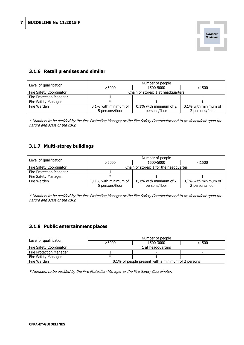

## **3.1.6 Retail premises and similar**

| Level of qualification  | Number of people     |                                    |                          |  |
|-------------------------|----------------------|------------------------------------|--------------------------|--|
|                         | >5000                | 1500-5000                          | < 1500                   |  |
| Fire Safety Coordinator |                      | Chain of stores: 1 at headquarters |                          |  |
| Fire Protection Manager |                      |                                    | $\overline{\phantom{a}}$ |  |
| Fire Safety Manager     | $\ast$               |                                    |                          |  |
| Fire Warden             | 0,1% with minimum of | 0,1% with minimum of 2             | 0,1% with minimum of     |  |
|                         | 5 persons/floor      | persons/floor                      | 2 persons/floor          |  |

\* Numbers to be decided by the Fire Protection Manager or the Fire Safety Coordinator and to be dependent upon the nature and scale of the risks.

## **3.1.7 Multi-storey buildings**

| Level of qualification  | Number of people     |                                        |                      |  |
|-------------------------|----------------------|----------------------------------------|----------------------|--|
|                         | >5000                | 1500-5000                              | $<$ 1500             |  |
| Fire Safety Coordinator |                      | Chain of stores: 1 for the headquarter |                      |  |
| Fire Protection Manager |                      |                                        |                      |  |
| Fire Safety Manager     |                      |                                        |                      |  |
| Fire Warden             | 0,1% with minimum of | 0,1% with minimum of 2                 | 0,1% with minimum of |  |
|                         | 5 persons/floor      | persons/floor                          | 2 persons/floor      |  |

\* Numbers to be decided by the Fire Protection Manager or the Fire Safety Coordinator and to be dependent upon the nature and scale of the risks.

#### **3.1.8 Public entertainment places**

| Level of qualification  | Number of people                                   |           |       |  |
|-------------------------|----------------------------------------------------|-----------|-------|--|
|                         | >3000                                              | 1500-3000 | <1500 |  |
| Fire Safety Coordinator | 1 at headquarters                                  |           |       |  |
| Fire Protection Manager |                                                    |           | -     |  |
| Fire Safety Manager     |                                                    |           |       |  |
| Fire Warden             | 0,1% of people present with a minimum of 2 persons |           |       |  |

\* Numbers to be decided by the Fire Protection Manager or the Fire Safety Coordinator.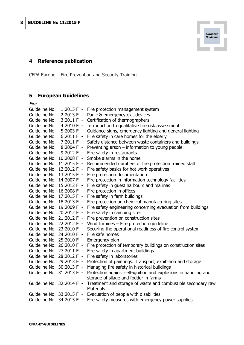

CFPA Europe – Fire Prevention and Security Training

# **5 European Guidelines**

| Fire                      |                           |                                                                                  |
|---------------------------|---------------------------|----------------------------------------------------------------------------------|
| Guideline No.             |                           | 1:2015 F - Fire protection management system                                     |
| Guideline No.             |                           | 2:2013 F - Panic & emergency exit devices                                        |
| Guideline No.             |                           | 3:2011 F - Certification of thermographers                                       |
| Guideline No.             | $4:2010 F -$              | Introduction to qualitative fire risk assessment                                 |
| Guideline No.             | $5:2003 F -$              | Guidance signs, emergency lighting and general lighting                          |
| Guideline No.             | $6:2011 F -$              | Fire safety in care homes for the elderly                                        |
|                           | Guideline No. 7:2011 F -  | Safety distance between waste containers and buildings                           |
|                           | Guideline No. 8:2004 F -  | Preventing arson $-$ information to young people                                 |
|                           | Guideline No. 9:2012 F -  | Fire safety in restaurants                                                       |
| Guideline No. 10:2008 F - |                           | Smoke alarms in the home                                                         |
|                           | Guideline No. 11:2015 F - | Recommended numbers of fire protection trained staff                             |
| Guideline No. 12:2012 F - |                           | Fire safety basics for hot work operatives                                       |
| Guideline No. 13:2015 F - |                           | Fire protection documentation                                                    |
| Guideline No. 14:2007 F - |                           | Fire protection in information technology facilities                             |
| Guideline No. 15:2012 F - |                           | Fire safety in guest harbours and marinas                                        |
| Guideline No. 16:2008 F - |                           | Fire protection in offices                                                       |
| Guideline No. 17:2015 F - |                           | Fire safety in farm buildings                                                    |
| Guideline No. 18:2013 F - |                           | Fire protection on chemical manufacturing sites                                  |
| Guideline No. 19:2009 F - |                           | Fire safety engineering concerning evacuation from buildings                     |
| Guideline No. 20:2012 F - |                           | Fire safety in camping sites                                                     |
| Guideline No. 21:2012 F - |                           | Fire prevention on construction sites                                            |
| Guideline No. 22:2012 F - |                           | Wind turbines $-$ Fire protection guideline                                      |
| Guideline No. 23:2010 F - |                           | Securing the operational readiness of fire control system                        |
| Guideline No. 24:2010 F - |                           | Fire safe homes                                                                  |
| Guideline No. 25:2010 F - |                           | Emergency plan                                                                   |
|                           | Guideline No. 26:2010 F - | Fire protection of temporary buildings on construction sites                     |
|                           | Guideline No. 27:2011 F - | Fire safety in apartment buildings                                               |
| Guideline No. 28:2012 F - |                           | Fire safety in laboratories                                                      |
| Guideline No. 29:2013 F - |                           | Protection of paintings: Transport, exhibition and storage                       |
| Guideline No. 30:2013 F - |                           | Managing fire safety in historical buildings                                     |
| Guideline No. 31:2013 F - |                           | Protection against self-ignition and explosions in handling and                  |
|                           |                           | storage of silage and fodder in farms                                            |
| Guideline No. 32:2014 F - |                           | Treatment and storage of waste and combustible secondary raw<br><b>Materials</b> |
|                           |                           | Guideline No. 33:2015 F - Evacuation of people with disabilities                 |
|                           | Guideline No. 34:2015 F - | Fire safety measures with emergency power supplies.                              |
|                           |                           |                                                                                  |

**European<br>Guideline**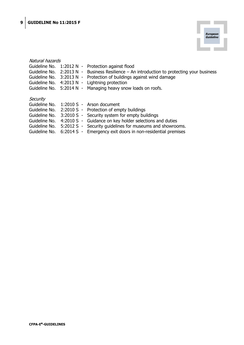

| Natural hazards          |                                          |                                                                     |
|--------------------------|------------------------------------------|---------------------------------------------------------------------|
| Guideline No.            | $1:2012 N -$                             | Protection against flood                                            |
| Guideline No.            | 2:2013 N<br>$\overline{\phantom{a}}$     | Business Resilience $-$ An introduction to protecting your business |
| Guideline No.            | 3:2013 N<br>$\overline{\phantom{0}}$     | Protection of buildings against wind damage                         |
| Guideline No.            | 4:2013 N<br>$\qquad \qquad \blacksquare$ | Lightning protection                                                |
| Guideline No. 5:2014 N - |                                          | Managing heavy snow loads on roofs.                                 |
| Security                 |                                          |                                                                     |
| Guideline No.            |                                          | 1:2010 S - Arson document                                           |
| Guideline No.            |                                          | 2:2010 S - Protection of empty buildings                            |
| Guideline No.            |                                          | 3:2010 S - Security system for empty buildings                      |
| Guideline No.            | $4:2010 S -$                             | Guidance on key holder selections and duties                        |
| Guideline No.            | $5:2012 S -$                             | Security guidelines for museums and showrooms.                      |
| Guideline No.            | $6:2014 S -$                             | Emergency exit doors in non-residential premises                    |
|                          |                                          |                                                                     |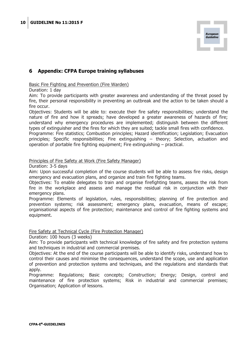

# **6 Appendix: CFPA Europe training syllabuses**

#### Basic Fire Fighting and Prevention (Fire Warden)

Duration: 1 day

Aim: To provide participants with greater awareness and understanding of the threat posed by fire, their personal responsibility in preventing an outbreak and the action to be taken should a fire occur.

Objectives: Students will be able to: execute their fire safety responsibilities; understand the nature of fire and how it spreads; have developed a greater awareness of hazards of fire; understand why emergency procedures are implemented; distinguish between the different types of extinguisher and the fires for which they are suited; tackle small fires with confidence. Programme: Fire statistics; Combustion principles; Hazard identification; Legislation; Evacuation principles; Specific responsibilities; Fire extinguishing – theory; Selection, actuation and operation of portable fire fighting equipment; Fire extinguishing – practical.

#### Principles of Fire Safety at Work (Fire Safety Manager)

Duration: 3-5 days

Aim: Upon successful completion of the course students will be able to assess fire risks, design emergency and evacuation plans, and organize and train fire fighting teams.

Objectives: To enable delegates to train and organise firefighting teams, assess the risk from fire in the workplace and assess and manage the residual risk in conjunction with their emergency plans.

Programme: Elements of legislation, rules, responsibilities; planning of fire protection and prevention systems; risk assessment; emergency plans, evacuation, means of escape; organisational aspects of fire protection; maintenance and control of fire fighting systems and equipment.

#### Fire Safety at Technical Cycle (Fire Protection Manager)

Duration: 100 hours (3 weeks)

Aim: To provide participants with technical knowledge of fire safety and fire protection systems and techniques in industrial and commercial premises.

Objectives: At the end of the course participants will be able to identify risks, understand how to control their causes and minimise the consequences, understand the scope, use and application of prevention and protection systems and techniques, and the regulations and standards that apply.

Programme: Regulations; Basic concepts; Construction; Energy; Design, control and maintenance of fire protection systems; Risk in industrial and commercial premises; Organisation; Application of lessons.